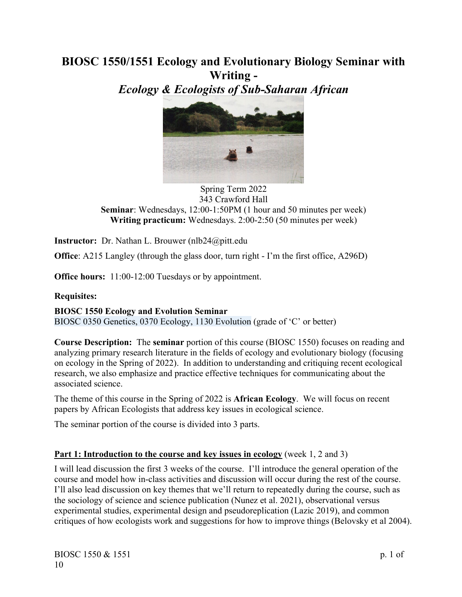# **BIOSC 1550/1551 Ecology and Evolutionary Biology Seminar with Writing -**

*Ecology & Ecologists of Sub-Saharan African*



#### Spring Term 2022 343 Crawford Hall **Seminar**: Wednesdays, 12:00-1:50PM (1 hour and 50 minutes per week) **Writing practicum:** Wednesdays. 2:00-2:50 (50 minutes per week)

**Instructor:** Dr. Nathan L. Brouwer (nlb24@pitt.edu

**Office**: A215 Langley (through the glass door, turn right - I'm the first office, A296D)

**Office hours:** 11:00-12:00 Tuesdays or by appointment.

### **Requisites:**

**BIOSC 1550 Ecology and Evolution Seminar**

BIOSC 0350 Genetics, 0370 Ecology, 1130 Evolution (grade of 'C' or better)

**Course Description:** The **seminar** portion of this course (BIOSC 1550) focuses on reading and analyzing primary research literature in the fields of ecology and evolutionary biology (focusing on ecology in the Spring of 2022). In addition to understanding and critiquing recent ecological research, we also emphasize and practice effective techniques for communicating about the associated science.

The theme of this course in the Spring of 2022 is **African Ecology**.We will focus on recent papers by African Ecologists that address key issues in ecological science.

The seminar portion of the course is divided into 3 parts.

# **Part 1: Introduction to the course and key issues in ecology** (week 1, 2 and 3)

I will lead discussion the first 3 weeks of the course. I'll introduce the general operation of the course and model how in-class activities and discussion will occur during the rest of the course. I'll also lead discussion on key themes that we'll return to repeatedly during the course, such as the sociology of science and science publication (Nunez et al. 2021), observational versus experimental studies, experimental design and pseudoreplication (Lazic 2019), and common critiques of how ecologists work and suggestions for how to improve things (Belovsky et al 2004).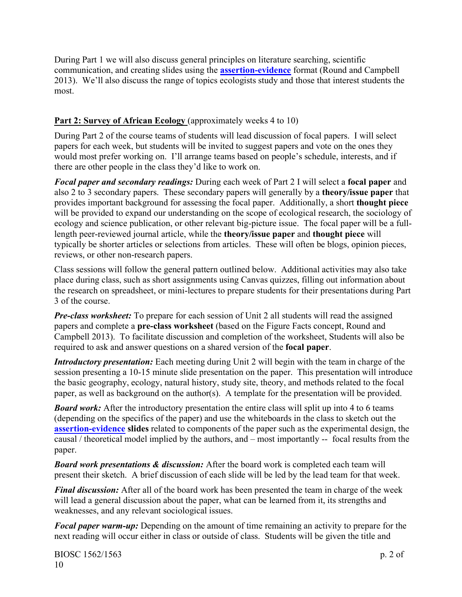During Part 1 we will also discuss general principles on literature searching, scientific communication, and creating slides using the **[assertion-evidence](https://www.assertion-evidence.com/templates.html)** format (Round and Campbell 2013). We'll also discuss the range of topics ecologists study and those that interest students the most.

# **Part 2: Survey of African Ecology** (approximately weeks 4 to 10)

During Part 2 of the course teams of students will lead discussion of focal papers. I will select papers for each week, but students will be invited to suggest papers and vote on the ones they would most prefer working on. I'll arrange teams based on people's schedule, interests, and if there are other people in the class they'd like to work on.

*Focal paper and secondary readings:* During each week of Part 2 I will select a **focal paper** and also 2 to 3 secondary papers. These secondary papers will generally by a **theory/issue paper** that provides important background for assessing the focal paper. Additionally, a short **thought piece** will be provided to expand our understanding on the scope of ecological research, the sociology of ecology and science publication, or other relevant big-picture issue. The focal paper will be a fulllength peer-reviewed journal article, while the **theory/issue paper** and **thought piece** will typically be shorter articles or selections from articles. These will often be blogs, opinion pieces, reviews, or other non-research papers.

Class sessions will follow the general pattern outlined below. Additional activities may also take place during class, such as short assignments using Canvas quizzes, filling out information about the research on spreadsheet, or mini-lectures to prepare students for their presentations during Part 3 of the course.

*Pre-class worksheet:* To prepare for each session of Unit 2 all students will read the assigned papers and complete a **pre-class worksheet** (based on the Figure Facts concept, Round and Campbell 2013). To facilitate discussion and completion of the worksheet, Students will also be required to ask and answer questions on a shared version of the **focal paper**.

*Introductory presentation:* Each meeting during Unit 2 will begin with the team in charge of the session presenting a 10-15 minute slide presentation on the paper. This presentation will introduce the basic geography, ecology, natural history, study site, theory, and methods related to the focal paper, as well as background on the author(s). A template for the presentation will be provided.

*Board work:* After the introductory presentation the entire class will split up into 4 to 6 teams (depending on the specifics of the paper) and use the whiteboards in the class to sketch out the **[assertion-evidence](https://www.assertion-evidence.com/templates.html) slides** related to components of the paper such as the experimental design, the causal / theoretical model implied by the authors, and – most importantly -- focal results from the paper.

*Board work presentations & discussion:* After the board work is completed each team will present their sketch. A brief discussion of each slide will be led by the lead team for that week.

*Final discussion:* After all of the board work has been presented the team in charge of the week will lead a general discussion about the paper, what can be learned from it, its strengths and weaknesses, and any relevant sociological issues.

*Focal paper warm-up:* Depending on the amount of time remaining an activity to prepare for the next reading will occur either in class or outside of class. Students will be given the title and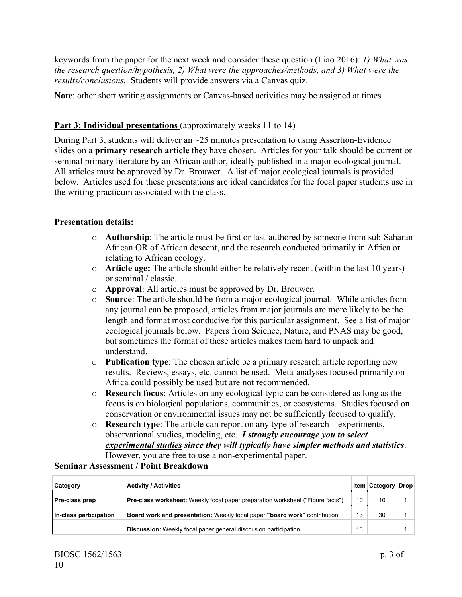keywords from the paper for the next week and consider these question (Liao 2016): *1) What was the research question/hypothesis, 2) What were the approaches/methods, and 3) What were the results/conclusions.* Students will provide answers via a Canvas quiz.

**Note**: other short writing assignments or Canvas-based activities may be assigned at times

## **Part 3: Individual presentations** (approximately weeks 11 to 14)

During Part 3, students will deliver an ~25 minutes presentation to using Assertion-Evidence slides on a **primary research article** they have chosen. Articles for your talk should be current or seminal primary literature by an African author, ideally published in a major ecological journal. All articles must be approved by Dr. Brouwer. A list of major ecological journals is provided below. Articles used for these presentations are ideal candidates for the focal paper students use in the writing practicum associated with the class.

#### **Presentation details:**

- o **Authorship**: The article must be first or last-authored by someone from sub-Saharan African OR of African descent, and the research conducted primarily in Africa or relating to African ecology.
- o **Article age:** The article should either be relatively recent (within the last 10 years) or seminal / classic.
- o **Approval**: All articles must be approved by Dr. Brouwer.
- o **Source**: The article should be from a major ecological journal. While articles from any journal can be proposed, articles from major journals are more likely to be the length and format most conducive for this particular assignment. See a list of major ecological journals below. Papers from Science, Nature, and PNAS may be good, but sometimes the format of these articles makes them hard to unpack and understand.
- o **Publication type**: The chosen article be a primary research article reporting new results. Reviews, essays, etc. cannot be used. Meta-analyses focused primarily on Africa could possibly be used but are not recommended.
- o **Research focus**: Articles on any ecological typic can be considered as long as the focus is on biological populations, communities, or ecosystems. Studies focused on conservation or environmental issues may not be sufficiently focused to qualify.
- o **Research type**: The article can report on any type of research experiments, observational studies, modeling, etc. *I strongly encourage you to select experimental studies since they will typically have simpler methods and statistics*. However, you are free to use a non-experimental paper.

#### **Seminar Assessment / Point Breakdown**

| Category               | <b>Activity / Activities</b>                                                          |    | <b>Item   Category   Drop  </b> |  |
|------------------------|---------------------------------------------------------------------------------------|----|---------------------------------|--|
| <b>Pre-class prep</b>  | <b>Pre-class worksheet:</b> Weekly focal paper preparation worksheet ("Figure facts") | 10 | 10                              |  |
| In-class participation | Board work and presentation: Weekly focal paper "board work" contribution             | 13 | 30                              |  |
|                        | <b>Discussion:</b> Weekly focal paper general disccusion participation                | 13 |                                 |  |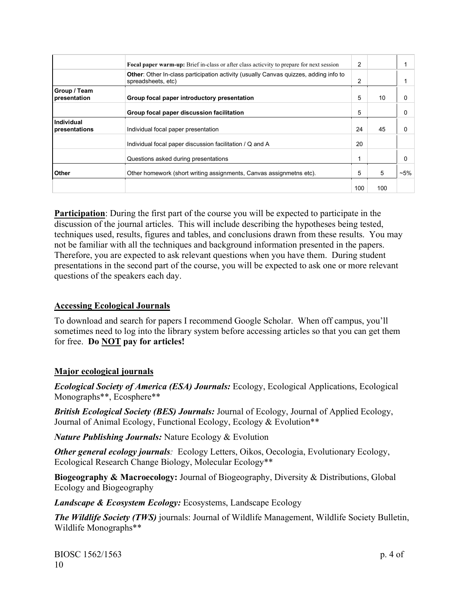|                              | <b>Focal paper warm-up:</b> Brief in-class or after class actionity to prepare for next session                   | $\overline{2}$ |     |          |
|------------------------------|-------------------------------------------------------------------------------------------------------------------|----------------|-----|----------|
|                              | <b>Other:</b> Other In-class participation activity (usually Canvas quizzes, adding info to<br>spreadsheets, etc) | $\overline{2}$ |     |          |
| Group / Team<br>presentation | Group focal paper introductory presentation                                                                       | 5              | 10  | 0        |
|                              | Group focal paper discussion facilitation                                                                         | 5              |     | 0        |
| Individual<br>presentations  | Individual focal paper presentation                                                                               | 24             | 45  | $\Omega$ |
|                              | Individual focal paper discussion facilitation / Q and A                                                          | 20             |     |          |
|                              | Questions asked during presentations                                                                              | 1              |     | $\Omega$ |
| Other                        | Other homework (short writing assignments, Canvas assignmetns etc).                                               | 5              | 5   | $-5%$    |
|                              |                                                                                                                   | 100            | 100 |          |

**Participation**: During the first part of the course you will be expected to participate in the discussion of the journal articles. This will include describing the hypotheses being tested, techniques used, results, figures and tables, and conclusions drawn from these results. You may not be familiar with all the techniques and background information presented in the papers. Therefore, you are expected to ask relevant questions when you have them. During student presentations in the second part of the course, you will be expected to ask one or more relevant questions of the speakers each day.

#### **Accessing Ecological Journals**

To download and search for papers I recommend Google Scholar. When off campus, you'll sometimes need to log into the library system before accessing articles so that you can get them for free. **Do NOT pay for articles!**

#### **Major ecological journals**

*Ecological Society of America (ESA) Journals:* Ecology, Ecological Applications, Ecological Monographs\*\*, Ecosphere\*\*

*British Ecological Society (BES) Journals:* Journal of Ecology, Journal of Applied Ecology, Journal of Animal Ecology, Functional Ecology, Ecology & Evolution\*\*

*Nature Publishing Journals:* Nature Ecology & Evolution

*Other general ecology journals:* Ecology Letters, Oikos, Oecologia, Evolutionary Ecology, Ecological Research Change Biology, Molecular Ecology\*\*

**Biogeography & Macroecology:** Journal of Biogeography, Diversity & Distributions, Global Ecology and Biogeography

*Landscape & Ecosystem Ecology:* Ecosystems, Landscape Ecology

*The Wildlife Society (TWS)* journals: Journal of Wildlife Management, Wildlife Society Bulletin, Wildlife Monographs\*\*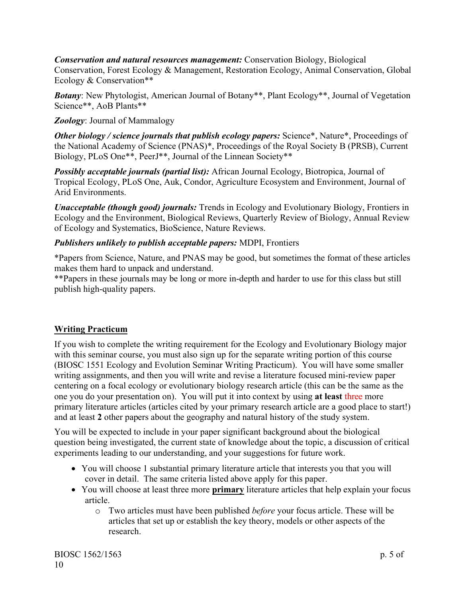#### *Conservation and natural resources management:* Conservation Biology, Biological

Conservation, Forest Ecology & Management, Restoration Ecology, Animal Conservation, Global Ecology & Conservation\*\*

**Botany:** New Phytologist, American Journal of Botany\*\*, Plant Ecology\*\*, Journal of Vegetation Science\*\*, AoB Plants\*\*

*Zoology*: Journal of Mammalogy

*Other biology / science journals that publish ecology papers:* Science\*, Nature\*, Proceedings of the National Academy of Science (PNAS)\*, Proceedings of the Royal Society B (PRSB), Current Biology, PLoS One\*\*, PeerJ\*\*, Journal of the Linnean Society\*\*

*Possibly acceptable journals (partial list):* African Journal Ecology, Biotropica, Journal of Tropical Ecology, PLoS One, Auk, Condor, Agriculture Ecosystem and Environment, Journal of Arid Environments.

*Unacceptable (though good) journals:* Trends in Ecology and Evolutionary Biology, Frontiers in Ecology and the Environment, Biological Reviews, Quarterly Review of Biology, Annual Review of Ecology and Systematics, BioScience, Nature Reviews.

## *Publishers unlikely to publish acceptable papers:* MDPI, Frontiers

\*Papers from Science, Nature, and PNAS may be good, but sometimes the format of these articles makes them hard to unpack and understand.

\*\*Papers in these journals may be long or more in-depth and harder to use for this class but still publish high-quality papers.

# **Writing Practicum**

If you wish to complete the writing requirement for the Ecology and Evolutionary Biology major with this seminar course, you must also sign up for the separate writing portion of this course (BIOSC 1551 Ecology and Evolution Seminar Writing Practicum). You will have some smaller writing assignments, and then you will write and revise a literature focused mini-review paper centering on a focal ecology or evolutionary biology research article (this can be the same as the one you do your presentation on). You will put it into context by using **at least** three more primary literature articles (articles cited by your primary research article are a good place to start!) and at least **2** other papers about the geography and natural history of the study system.

You will be expected to include in your paper significant background about the biological question being investigated, the current state of knowledge about the topic, a discussion of critical experiments leading to our understanding, and your suggestions for future work.

- You will choose 1 substantial primary literature article that interests you that you will cover in detail. The same criteria listed above apply for this paper.
- You will choose at least three more **primary** literature articles that help explain your focus article.
	- o Two articles must have been published *before* your focus article. These will be articles that set up or establish the key theory, models or other aspects of the research.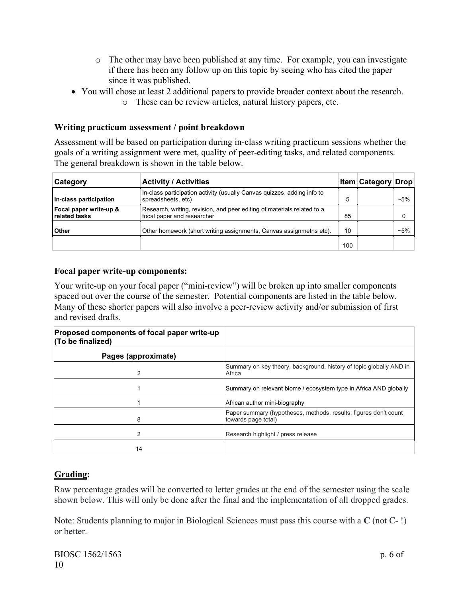- o The other may have been published at any time. For example, you can investigate if there has been any follow up on this topic by seeing who has cited the paper since it was published.
- You will chose at least 2 additional papers to provide broader context about the research.
	- o These can be review articles, natural history papers, etc.

## **Writing practicum assessment / point breakdown**

Assessment will be based on participation during in-class writing practicum sessions whether the goals of a writing assignment were met, quality of peer-editing tasks, and related components. The general breakdown is shown in the table below.

| Category                                | <b>Activity / Activities</b>                                                                          |     | <b>Item Category Drop</b> |          |
|-----------------------------------------|-------------------------------------------------------------------------------------------------------|-----|---------------------------|----------|
| In-class participation                  | In-class participation activity (usually Canvas quizzes, adding info to<br>spreadsheets, etc)         | 5   |                           | $~1.5\%$ |
| Focal paper write-up &<br>related tasks | Research, writing, revision, and peer editing of materials related to a<br>focal paper and researcher | 85  |                           |          |
| <b>Other</b>                            | Other homework (short writing assignments, Canvas assignmetns etc).                                   | 10  |                           | $~1.5\%$ |
|                                         |                                                                                                       | 100 |                           |          |

#### **Focal paper write-up components:**

Your write-up on your focal paper ("mini-review") will be broken up into smaller components spaced out over the course of the semester. Potential components are listed in the table below. Many of these shorter papers will also involve a peer-review activity and/or submission of first and revised drafts.

| Proposed components of focal paper write-up<br>(To be finalized) |                                                                                         |
|------------------------------------------------------------------|-----------------------------------------------------------------------------------------|
| Pages (approximate)                                              |                                                                                         |
| $\mathfrak{p}$                                                   | Summary on key theory, background, history of topic globally AND in<br>Africa           |
|                                                                  | Summary on relevant biome / ecosystem type in Africa AND globally                       |
|                                                                  | African author mini-biography                                                           |
| 8                                                                | Paper summary (hypotheses, methods, results; figures don't count<br>towards page total) |
| 2                                                                | Research highlight / press release                                                      |
| 14                                                               |                                                                                         |

# **Grading:**

Raw percentage grades will be converted to letter grades at the end of the semester using the scale shown below. This will only be done after the final and the implementation of all dropped grades.

Note: Students planning to major in Biological Sciences must pass this course with a **C** (not C- !) or better.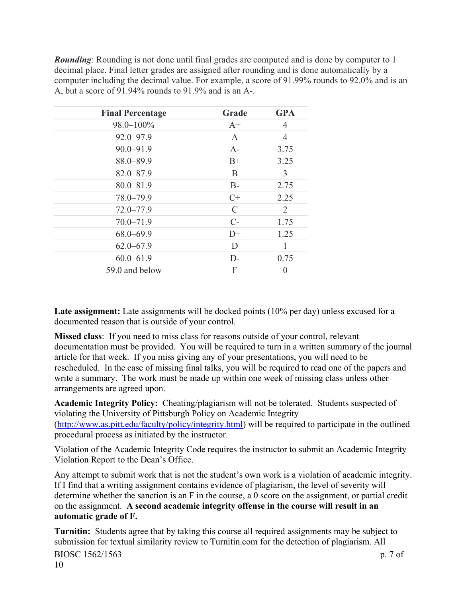*Rounding*: Rounding is not done until final grades are computed and is done by computer to 1 decimal place. Final letter grades are assigned after rounding and is done automatically by a computer including the decimal value. For example, a score of 91.99% rounds to 92.0% and is an A, but a score of 91.94% rounds to 91.9% and is an A-.

| <b>Final Percentage</b> | Grade                       | <b>GPA</b> |
|-------------------------|-----------------------------|------------|
| 98.0-100%               | $A+$                        | 4          |
| $92.0 - 97.9$           | A                           | 4          |
| $90.0 - 91.9$           | $A-$                        | 3.75       |
| 88.0-89.9               | $B+$                        | 3.25       |
| $82.0 - 87.9$           | B                           | 3          |
| $80.0 - 81.9$           | $B-$                        | 2.75       |
| 78.0-79.9               | $C+$                        | 2.25       |
| $72.0 - 77.9$           | $\mathcal{C}_{\mathcal{C}}$ | 2          |
| $70.0 - 71.9$           | $C$ -                       | 1.75       |
| $68.0 - 69.9$           | $D+$                        | 1.25       |
| $62.0 - 67.9$           | D                           |            |
| $60.0 - 61.9$           | $D-$                        | 0.75       |
| 59.0 and below          | F                           | 0          |

Late assignment: Late assignments will be docked points (10% per day) unless excused for a documented reason that is outside of your control.

**Missed class**: If you need to miss class for reasons outside of your control, relevant documentation must be provided. You will be required to turn in a written summary of the journal article for that week. If you miss giving any of your presentations, you will need to be rescheduled. In the case of missing final talks, you will be required to read one of the papers and write a summary. The work must be made up within one week of missing class unless other arrangements are agreed upon.

**Academic Integrity Policy:** Cheating/plagiarism will not be tolerated. Students suspected of violating the University of Pittsburgh Policy on Academic Integrity [\(http://www.as.pitt.edu/faculty/policy/integrity.html\)](http://www.as.pitt.edu/faculty/policy/integrity.html) will be required to participate in the outlined procedural process as initiated by the instructor.

Violation of the Academic Integrity Code requires the instructor to submit an Academic Integrity Violation Report to the Dean's Office.

Any attempt to submit work that is not the student's own work is a violation of academic integrity. If I find that a writing assignment contains evidence of plagiarism, the level of severity will determine whether the sanction is an F in the course, a 0 score on the assignment, or partial credit on the assignment. **A second academic integrity offense in the course will result in an automatic grade of F.**

**Turnitin:**Students agree that by taking this course all required assignments may be subject to submission for textual similarity review to Turnitin.com for the detection of plagiarism. All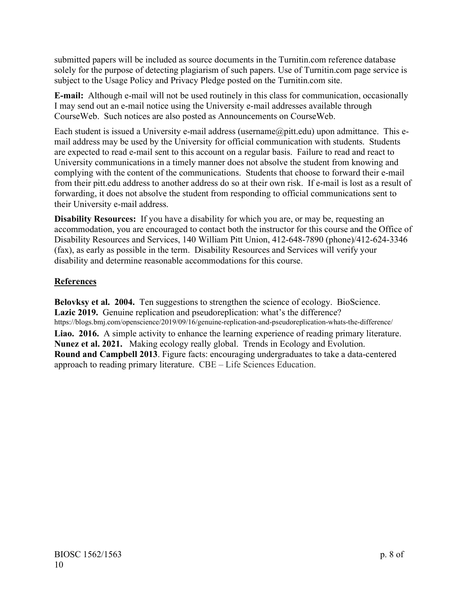submitted papers will be included as source documents in the Turnitin.com reference database solely for the purpose of detecting plagiarism of such papers. Use of Turnitin.com page service is subject to the Usage Policy and Privacy Pledge posted on the Turnitin.com site.

**E-mail:** Although e-mail will not be used routinely in this class for communication, occasionally I may send out an e-mail notice using the University e-mail addresses available through CourseWeb. Such notices are also posted as Announcements on CourseWeb.

Each student is issued a University e-mail address (username $@p$ itt.edu) upon admittance. This email address may be used by the University for official communication with students. Students are expected to read e-mail sent to this account on a regular basis. Failure to read and react to University communications in a timely manner does not absolve the student from knowing and complying with the content of the communications. Students that choose to forward their e-mail from their pitt.edu address to another address do so at their own risk. If e-mail is lost as a result of forwarding, it does not absolve the student from responding to official communications sent to their University e-mail address.

**Disability Resources:** If you have a disability for which you are, or may be, requesting an accommodation, you are encouraged to contact both the instructor for this course and the Office of Disability Resources and Services, 140 William Pitt Union, 412-648-7890 (phone)/412-624-3346 (fax), as early as possible in the term. Disability Resources and Services will verify your disability and determine reasonable accommodations for this course.

# **References**

**Belovksy et al. 2004.** Ten suggestions to strengthen the science of ecology. BioScience. **Lazic 2019.** [Genuine replication and pseudoreplication: what's the difference?](https://blogs.bmj.com/openscience/2019/09/16/genuine-replication-and-pseudoreplication-whats-the-difference/) https://blogs.bmj.com/openscience/2019/09/16/genuine-replication-and-pseudoreplication-whats-the-difference/ **Liao. 2016.** A simple activity to enhance the learning experience of reading primary literature. **Nunez et al. 2021.** Making ecology really global. Trends in Ecology and Evolution. **Round and Campbell 2013**. [Figure facts: encouraging undergraduates to take a data-centered](https://www.lifescied.org/doi/abs/10.1187/cbe.11-07-0057)  [approach to reading primary literature.](https://www.lifescied.org/doi/abs/10.1187/cbe.11-07-0057) CBE – Life Sciences Education.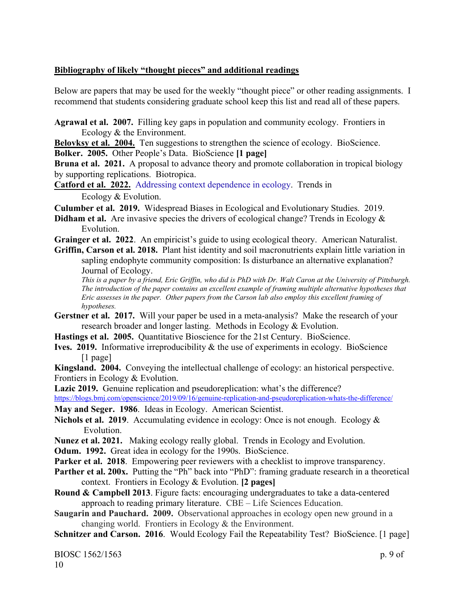#### **Bibliography of likely "thought pieces" and additional readings**

Below are papers that may be used for the weekly "thought piece" or other reading assignments. I recommend that students considering graduate school keep this list and read all of these papers.

**Agrawal et al. 2007.** Filling key gaps in population and community ecology. Frontiers in Ecology & the Environment.

**Belovksy et al. 2004.** Ten suggestions to strengthen the science of ecology. BioScience.

**Bolker. 2005.** Other People's Data. BioScience **[1 page]**

**Bruna et al. 2021.** A proposal to advance theory and promote collaboration in tropical biology by supporting replications. Biotropica.

**Catford et al. 2022.** [Addressing context dependence in ecology.](https://www.sciencedirect.com/science/article/pii/S0169534721002585) Trends in Ecology & Evolution.

**Culumber et al. 2019.** Widespread Biases in Ecological and Evolutionary Studies. 2019.

**Didham et al.** Are invasive species the drivers of ecological change? Trends in Ecology & Evolution.

**Grainger et al. 2022**. An empiricist's guide to using ecological theory. American Naturalist.

**Griffin, Carson et al. 2018.** Plant hist identity and soil macronutrients explain little variation in sapling endophyte community composition: Is disturbance an alternative explanation? Journal of Ecology.

*This is a paper by a friend, Eric Griffin, who did is PhD with Dr. Walt Caron at the University of Pittsburgh. The introduction of the paper contains an excellent example of framing multiple alternative hypotheses that Eric assesses in the paper. Other papers from the Carson lab also employ this excellent framing of hypotheses.*

**Gerstner et al. 2017.** Will your paper be used in a meta-analysis? Make the research of your research broader and longer lasting. Methods in Ecology & Evolution.

**Hastings et al. 2005.** Quantitative Bioscience for the 21st Century. BioScience.

**Ives. 2019.** Informative irreproducibility & the use of experiments in ecology. BioScience [1 page]

**Kingsland. 2004.** Conveying the intellectual challenge of ecology: an historical perspective. Frontiers in Ecology & Evolution.

Lazic 2019. [Genuine replication and pseudoreplication: what's the difference?](https://blogs.bmj.com/openscience/2019/09/16/genuine-replication-and-pseudoreplication-whats-the-difference/)

<https://blogs.bmj.com/openscience/2019/09/16/genuine-replication-and-pseudoreplication-whats-the-difference/>

**May and Seger. 1986**. Ideas in Ecology. American Scientist.

**Nichols et al. 2019**. Accumulating evidence in ecology: Once is not enough. Ecology & Evolution.

**Nunez et al. 2021.** Making ecology really global. Trends in Ecology and Evolution.

**Odum. 1992.** Great idea in ecology for the 1990s. BioScience.

Parker et al. 2018. Empowering peer reviewers with a checklist to improve transparency.

**Parther et al. 200x.** Putting the "Ph" back into "PhD": framing graduate research in a theoretical context. Frontiers in Ecology & Evolution. **[2 pages]**

**Round & Campbell 2013**. [Figure facts: encouraging undergraduates to take a data-centered](https://www.lifescied.org/doi/abs/10.1187/cbe.11-07-0057)  [approach to reading primary literature.](https://www.lifescied.org/doi/abs/10.1187/cbe.11-07-0057) CBE – Life Sciences Education.

**Saugarin and Pauchard. 2009.** Observational approaches in ecology open new ground in a changing world. Frontiers in Ecology & the Environment.

**Schnitzer and Carson. 2016**. Would Ecology Fail the Repeatability Test? BioScience. [1 page]